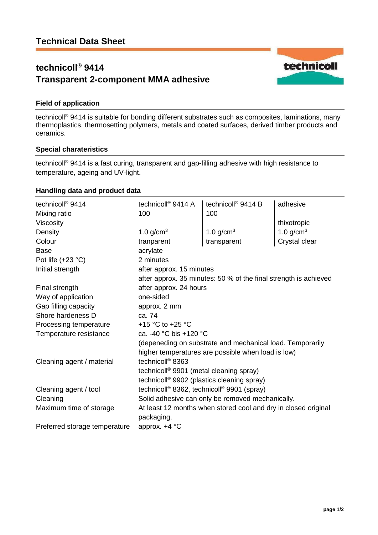# **technicoll® 9414 Transparent 2-component MMA adhesive**



technicoll® 9414 is suitable for bonding different substrates such as composites, laminations, many thermoplastics, thermosetting polymers, metals and coated surfaces, derived timber products and ceramics.

#### **Special charateristics**

technicoll ® 9414 is a fast curing, transparent and gap-filling adhesive with high resistance to temperature, ageing and UV-light.

## **Handling data and product data**

| technicoll <sup>®</sup> 9414  | technicoll <sup>®</sup> 9414 A                                               | technicoll <sup>®</sup> 9414 B                                   | adhesive      |
|-------------------------------|------------------------------------------------------------------------------|------------------------------------------------------------------|---------------|
| Mixing ratio                  | 100                                                                          | 100                                                              |               |
| Viscosity                     |                                                                              |                                                                  | thixotropic   |
| Density                       | 1.0 $g/cm3$                                                                  | 1.0 $g/cm3$                                                      | 1.0 $g/cm3$   |
| Colour                        | tranparent                                                                   | transparent                                                      | Crystal clear |
| <b>Base</b>                   | acrylate                                                                     |                                                                  |               |
| Pot life $(+23 °C)$           | 2 minutes                                                                    |                                                                  |               |
| Initial strength              | after approx. 15 minutes                                                     |                                                                  |               |
|                               |                                                                              | after approx. 35 minutes: 50 % of the final strength is achieved |               |
| Final strength                | after approx. 24 hours                                                       |                                                                  |               |
| Way of application            | one-sided                                                                    |                                                                  |               |
| Gap filling capacity          | approx. 2 mm                                                                 |                                                                  |               |
| Shore hardeness D             | ca. 74                                                                       |                                                                  |               |
| Processing temperature        | +15 °C to +25 °C                                                             |                                                                  |               |
| Temperature resistance        | ca. -40 °C bis +120 °C                                                       |                                                                  |               |
|                               |                                                                              | (depeneding on substrate and mechanical load. Temporarily        |               |
|                               |                                                                              | higher temperatures are possible when load is low)               |               |
| Cleaning agent / material     | technicoll <sup>®</sup> 8363                                                 |                                                                  |               |
|                               | technicoll <sup>®</sup> 9901 (metal cleaning spray)                          |                                                                  |               |
|                               | technicoll <sup>®</sup> 9902 (plastics cleaning spray)                       |                                                                  |               |
| Cleaning agent / tool         | technicoll <sup>®</sup> 8362, technicoll <sup>®</sup> 9901 (spray)           |                                                                  |               |
| Cleaning                      | Solid adhesive can only be removed mechanically.                             |                                                                  |               |
| Maximum time of storage       | At least 12 months when stored cool and dry in closed original<br>packaging. |                                                                  |               |
| Preferred storage temperature | approx. +4 °C                                                                |                                                                  |               |

technicoll